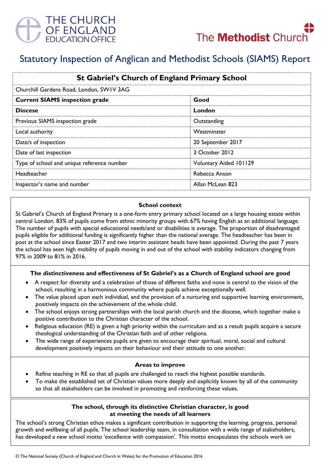



# Statutory Inspection of Anglican and Methodist Schools (SIAMS) Report

| <b>St Gabriel's Church of England Primary School</b><br>Churchill Gardens Road, London, SWIV 3AG |                        |
|--------------------------------------------------------------------------------------------------|------------------------|
|                                                                                                  |                        |
| <b>Diocese</b>                                                                                   | London                 |
| Previous SIAMS inspection grade                                                                  | Outstanding            |
| Local authority                                                                                  | Westminster            |
| Date/s of inspection                                                                             | 20 September 2017      |
| Date of last inspection                                                                          | 3 October 2012         |
| Type of school and unique reference number                                                       | Voluntary Aided 101129 |
| <b>Headteacher</b>                                                                               | Rebecca Anson          |
| Inspector's name and number                                                                      | Allan McLean 823       |

#### **School context**

St Gabriel's Church of England Primary is a one-form entry primary school located on a large housing estate within central London. 83% of pupils come from ethnic minority groups with 67% having English as an additional language. The number of pupils with special educational needs/and or disabilities is average. The proportion of disadvantaged pupils eligible for additional funding is significantly higher than the national average. The headteacher has been in post at the school since Easter 2017 and two interim assistant heads have been appointed. During the past 7 years the school has seen high mobility of pupils moving in and out of the school with stability indicators changing from 97% in 2009 to 81% in 2016.

#### **The distinctiveness and effectiveness of St Gabriel's as a Church of England school are good**

- A respect for diversity and a celebration of those of different faiths and none is central to the vision of the school, resulting in a harmonious community where pupils achieve exceptionally well.
- The value placed upon each individual, and the provision of a nurturing and supportive learning environment, positively impacts on the achievement of the whole child.
- The school enjoys strong partnerships with the local parish church and the diocese, which together make a positive contribution to the Christian character of the school.
- Religious education (RE) is given a high priority within the curriculum and as a result pupils acquire a secure theological understanding of the Christian faith and of other religions.
- The wide range of experiences pupils are given to encourage their spiritual, moral, social and cultural development positively impacts on their behaviour and their attitude to one another.

#### **Areas to improve**

- Refine teaching in RE so that all pupils are challenged to reach the highest possible standards.
- To make the established set of Christian values more deeply and explicitly known by all of the community so that all stakeholders can be involved in promoting and reinforcing these values.

## **The school, through its distinctive Christian character, is good at meeting the needs of all learners**

The school's strong Christian ethos makes a significant contribution in supporting the learning, progress, personal growth and wellbeing of all pupils. The school leadership team, in consultation with a wide range of stakeholders, has developed a new school motto 'excellence with compassion'. This motto encapsulates the schools work on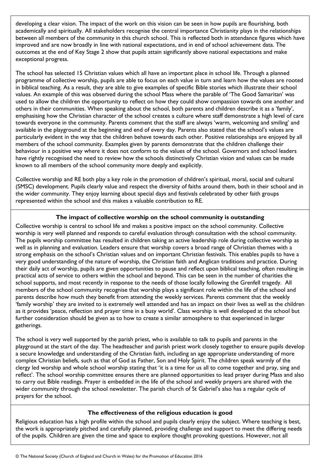developing a clear vision. The impact of the work on this vision can be seen in how pupils are flourishing, both academically and spiritually. All stakeholders recognise the central importance Christianity plays in the relationships between all members of the community in this church school. This is reflected both in attendance figures which have improved and are now broadly in line with national expectations, and in end of school achievement data. The outcomes at the end of Key Stage 2 show that pupils attain significantly above national expectations and make exceptional progress.

The school has selected 15 Christian values which all have an important place in school life. Through a planned programme of collective worship, pupils are able to focus on each value in turn and learn how the values are rooted in biblical teaching. As a result, they are able to give examples of specific Bible stories which illustrate their school values. An example of this was observed during the school Mass where the parable of 'The Good Samaritan' was used to allow the children the opportunity to reflect on how they could show compassion towards one another and others in their communities. When speaking about the school, both parents and children describe it as a 'family', emphasising how the Christian character of the school creates a culture where staff demonstrate a high level of care towards everyone in the community. Parents comment that the staff are always 'warm, welcoming and smiling' and available in the playground at the beginning and end of every day. Parents also stated that the school's values are particularly evident in the way that the children behave towards each other. Positive relationships are enjoyed by all members of the school community. Examples given by parents demonstrate that the children challenge their behaviour in a positive way where it does not conform to the values of the school. Governors and school leaders have rightly recognised the need to review how the schools distinctively Christian vision and values can be made known to all members of the school community more deeply and explicitly.

Collective worship and RE both play a key role in the promotion of children's spiritual, moral, social and cultural (SMSC) development. Pupils clearly value and respect the diversity of faiths around them, both in their school and in the wider community. They enjoy learning about special days and festivals celebrated by other faith groups represented within the school and this makes a valuable contribution to RE.

# **The impact of collective worship on the school community is outstanding**

Collective worship is central to school life and makes a positive impact on the school community. Collective worship is very well planned and responds to careful evaluation through consultation with the school community. The pupils worship committee has resulted in children taking an active leadership role during collective worship as well as in planning and evaluation*.* Leaders ensure that worship covers a broad range of Christian themes with a strong emphasis on the school's Christian values and on important Christian festivals. This enables pupils to have a very good understanding of the nature of worship, the Christian faith and Anglican traditions and practice. During their daily act of worship, pupils are given opportunities to pause and reflect upon biblical teaching, often resulting in practical acts of service to others within the school and beyond. This can be seen in the number of charities the school supports, and most recently in response to the needs of those locally following the Grenfell tragedy. All members of the school community recognise that worship plays a significant role within the life of the school and parents describe how much they benefit from attending the weekly services. Parents comment that the weekly 'family worship' they are invited to is extremely well attended and has an impact on their lives as well as the children as it provides 'peace, reflection and prayer time in a busy world'. Class worship is well developed at the school but further consideration should be given as to how to create a similar atmosphere to that experienced in larger gatherings.

The school is very well supported by the parish priest, who is available to talk to pupils and parents in the playground at the start of the day. The headteacher and parish priest work closely together to ensure pupils develop a secure knowledge and understanding of the Christian faith, including an age appropriate understanding of more complex Christian beliefs, such as that of God as Father, Son and Holy Spirit. The children speak warmly of the clergy led worship and whole school worship stating that 'it is a time for us all to come together and pray, sing and reflect'. The school worship committee ensures there are planned opportunities to lead prayer during Mass and also to carry out Bible readings. Prayer is embedded in the life of the school and weekly prayers are shared with the wider community through the school newsletter. The parish church of St Gabriel's also has a regular cycle of prayers for the school.

# **The effectiveness of the religious education is good**

Religious education has a high profile within the school and pupils clearly enjoy the subject. Where teaching is best, the work is appropriately pitched and carefully planned, providing challenge and support to meet the differing needs of the pupils. Children are given the time and space to explore thought provoking questions. However, not all